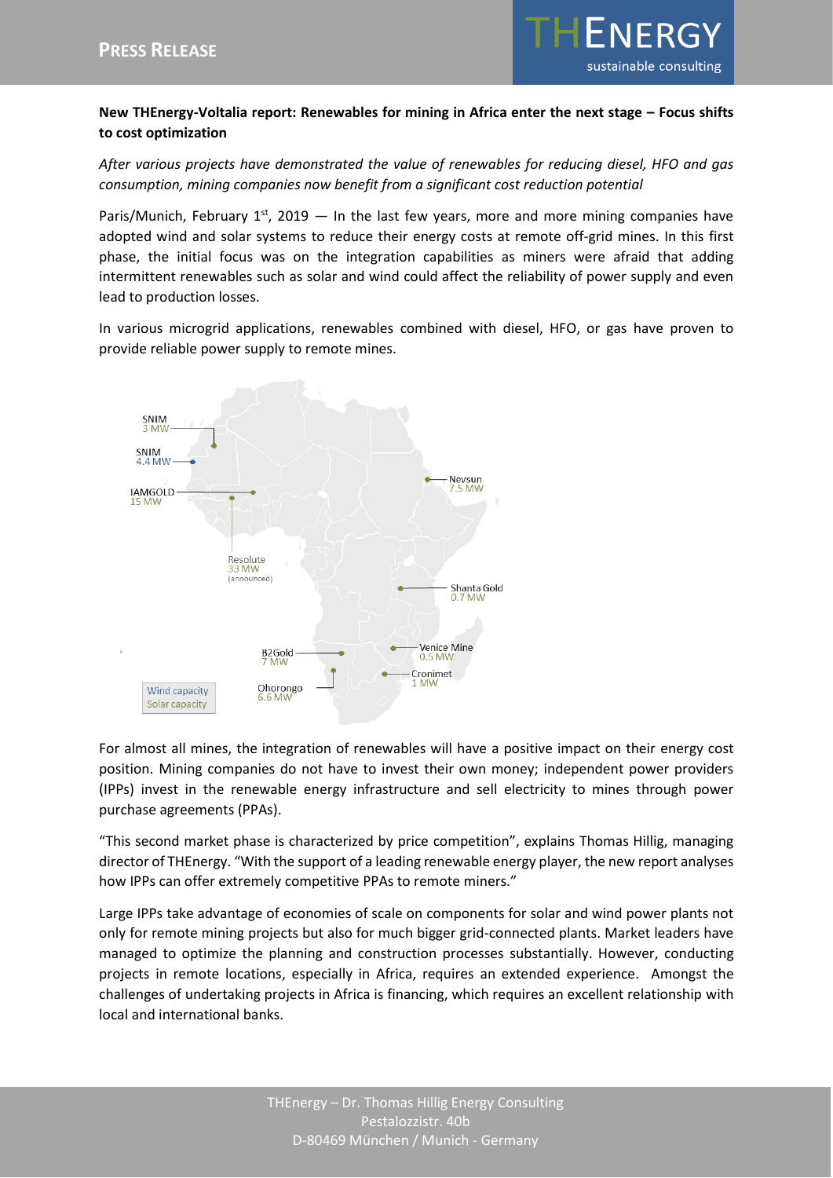

## **New THEnergy-Voltalia report: Renewables for mining in Africa enter the next stage – Focus shifts to cost optimization**

*After various projects have demonstrated the value of renewables for reducing diesel, HFO and gas consumption, mining companies now benefit from a significant cost reduction potential*

Paris/Munich, February  $1^{st}$ , 2019  $-$  In the last few years, more and more mining companies have adopted wind and solar systems to reduce their energy costs at remote off-grid mines. In this first phase, the initial focus was on the integration capabilities as miners were afraid that adding intermittent renewables such as solar and wind could affect the reliability of power supply and even lead to production losses.

In various microgrid applications, renewables combined with diesel, HFO, or gas have proven to provide reliable power supply to remote mines.



For almost all mines, the integration of renewables will have a positive impact on their energy cost position. Mining companies do not have to invest their own money; independent power providers (IPPs) invest in the renewable energy infrastructure and sell electricity to mines through power purchase agreements (PPAs).

"This second market phase is characterized by price competition", explains Thomas Hillig, managing director of THEnergy. "With the support of a leading renewable energy player, the new report analyses how IPPs can offer extremely competitive PPAs to remote miners."

Large IPPs take advantage of economies of scale on components for solar and wind power plants not only for remote mining projects but also for much bigger grid-connected plants. Market leaders have managed to optimize the planning and construction processes substantially. However, conducting projects in remote locations, especially in Africa, requires an extended experience. Amongst the challenges of undertaking projects in Africa is financing, which requires an excellent relationship with local and international banks.